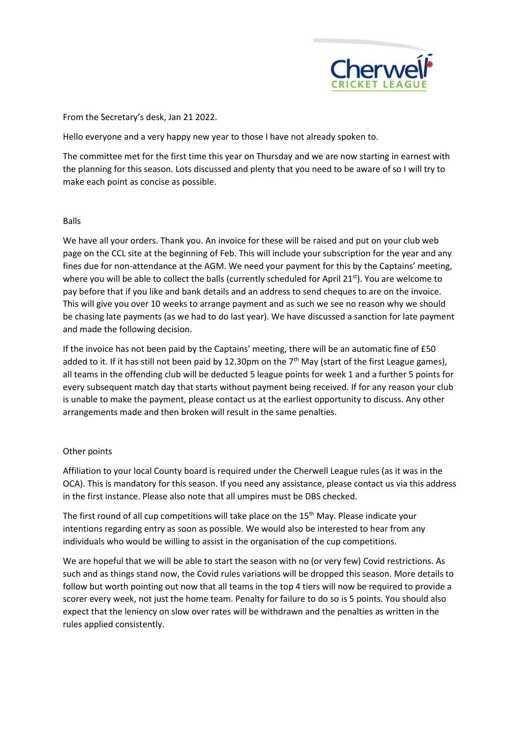

From the Secretary's desk, Jan 21 2022.

Hello everyone and a very happy new year to those I have not already spoken to.

The committee met for the first time this year on Thursday and we are now starting in earnest with the planning for this season. Lots discussed and plenty that you need to be aware of so I will try to make each point as concise as possible.

## Balls

We have all your orders. Thank you. An invoice for these will be raised and put on your club web page on the CCL site at the beginning of Feb. This will include your subscription for the year and any fines due for non-attendance at the AGM. We need your payment for this by the Captains' meeting, where you will be able to collect the balls (currently scheduled for April 21<sup>st</sup>). You are welcome to pay before that if you like and bank details and an address to send cheques to are on the invoice. This will give you over 10 weeks to arrange payment and as such we see no reason why we should be chasing late payments (as we had to do last year). We have discussed a sanction for late payment and made the following decision.

If the invoice has not been paid by the Captains' meeting, there will be an automatic fine of £50 added to it. If it has still not been paid by 12.30pm on the  $7<sup>th</sup>$  May (start of the first League games), all teams in the offending club will be deducted 5 league points for week 1 and a further 5 points for every subsequent match day that starts without payment being received. If for any reason your club is unable to make the payment, please contact us at the earliest opportunity to discuss. Any other arrangements made and then broken will result in the same penalties.

## Other points

Affiliation to your local County board is required under the Cherwell League rules (as it was in the OCA). This is mandatory for this season. If you need any assistance, please contact us via this address in the first instance. Please also note that all umpires must be DBS checked.

The first round of all cup competitions will take place on the 15<sup>th</sup> May. Please indicate your intentions regarding entry as soon as possible. We would also be interested to hear from any individuals who would be willing to assist in the organisation of the cup competitions.

We are hopeful that we will be able to start the season with no (or very few) Covid restrictions. As such and as things stand now, the Covid rules variations will be dropped this season. More details to follow but worth pointing out now that all teams in the top 4 tiers will now be required to provide a scorer every week, not just the home team. Penalty for failure to do so is 5 points. You should also expect that the leniency on slow over rates will be withdrawn and the penalties as written in the rules applied consistently.